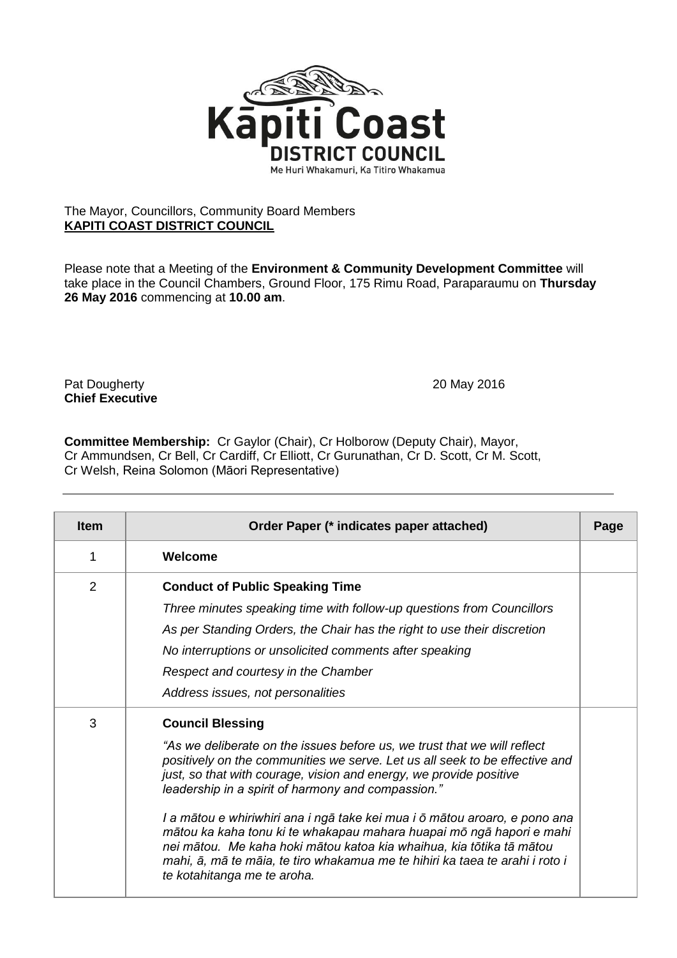

## The Mayor, Councillors, Community Board Members **KAPITI COAST DISTRICT COUNCIL**

Please note that a Meeting of the **Environment & Community Development Committee** will take place in the Council Chambers, Ground Floor, 175 Rimu Road, Paraparaumu on **Thursday 26 May 2016** commencing at **10.00 am**.

Pat Dougherty 20 May 2016 **Chief Executive**

**Committee Membership:** Cr Gaylor (Chair), Cr Holborow (Deputy Chair), Mayor, Cr Ammundsen, Cr Bell, Cr Cardiff, Cr Elliott, Cr Gurunathan, Cr D. Scott, Cr M. Scott, Cr Welsh, Reina Solomon (Māori Representative)

| <b>Item</b> | Order Paper (* indicates paper attached)                                                                                                                                                                                                                                                                                                                                                                                                                                                                                                                                                                                                                    | Page |
|-------------|-------------------------------------------------------------------------------------------------------------------------------------------------------------------------------------------------------------------------------------------------------------------------------------------------------------------------------------------------------------------------------------------------------------------------------------------------------------------------------------------------------------------------------------------------------------------------------------------------------------------------------------------------------------|------|
| 1           | Welcome                                                                                                                                                                                                                                                                                                                                                                                                                                                                                                                                                                                                                                                     |      |
| 2           | <b>Conduct of Public Speaking Time</b><br>Three minutes speaking time with follow-up questions from Councillors<br>As per Standing Orders, the Chair has the right to use their discretion<br>No interruptions or unsolicited comments after speaking<br>Respect and courtesy in the Chamber<br>Address issues, not personalities                                                                                                                                                                                                                                                                                                                           |      |
| 3           | <b>Council Blessing</b><br>"As we deliberate on the issues before us, we trust that we will reflect<br>positively on the communities we serve. Let us all seek to be effective and<br>just, so that with courage, vision and energy, we provide positive<br>leadership in a spirit of harmony and compassion."<br>I a mātou e whiriwhiri ana i ngā take kei mua i ō mātou aroaro, e pono ana<br>mātou ka kaha tonu ki te whakapau mahara huapai mō ngā hapori e mahi<br>nei mātou. Me kaha hoki mātou katoa kia whaihua, kia tōtika tā mātou<br>mahi, ā, mā te māia, te tiro whakamua me te hihiri ka taea te arahi i roto i<br>te kotahitanga me te aroha. |      |